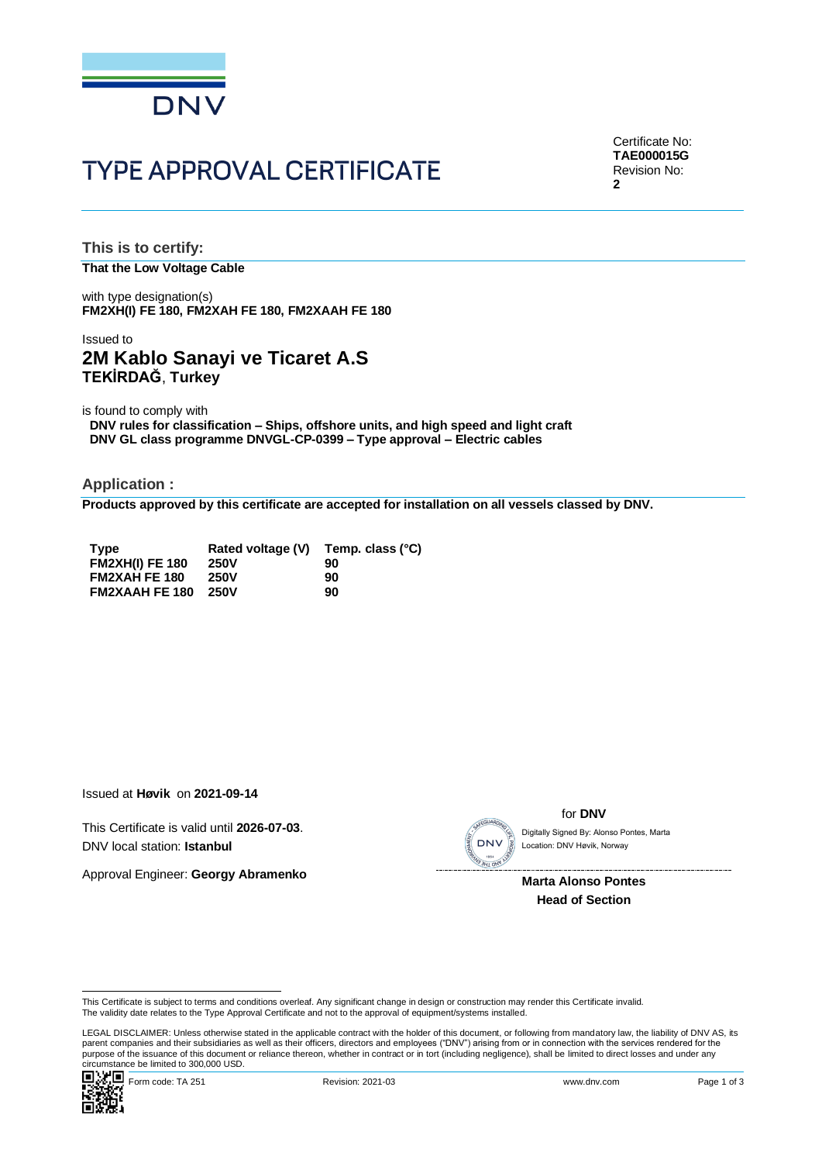

# **TYPE APPROVAL CERTIFICATE**

Certificate No: **TAE000015G** Revision No: **2**

**This is to certify: That the Low Voltage Cable**

with type designation(s) **FM2XH(I) FE 180, FM2XAH FE 180, FM2XAAH FE 180**

## Issued to **2M Kablo Sanayi ve Ticaret A.S TEKİRDAĞ**, **Turkey**

is found to comply with

**DNV rules for classification – Ships, offshore units, and high speed and light craft DNV GL class programme DNVGL-CP-0399 – Type approval – Electric cables**

**Application :**

**Products approved by this certificate are accepted for installation on all vessels classed by DNV.**

| <b>Type</b>            | Rated voltage (V) | Temp. class (°C) |
|------------------------|-------------------|------------------|
| <b>FM2XH(I) FE 180</b> | <b>250V</b>       | 90               |
| <b>FM2XAH FE 180</b>   | <b>250V</b>       | 90               |
| <b>FM2XAAH FE 180</b>  | 250V              | 90               |

Issued at **Høvik** on **2021-09-14**

This Certificate is valid until **2026-07-03**. DNV local station: **Istanbul**

Approval Engineer: **Georgy Abramenko**

SEGUAR

for **DNV**

Location: DNV Høvik, Norway

**Marta Alonso Pontes Head of Section**

This Certificate is subject to terms and conditions overleaf. Any significant change in design or construction may render this Certificate invalid.<br>The validity date relates to the Type Approval Certificate and not to the

LEGAL DISCLAIMER: Unless otherwise stated in the applicable contract with the holder of this document, or following from mandatory law, the liability of DNV AS, its parent companies and their subsidiaries as well as their officers, directors and employees ("DNV") arising from or in connection with the services rendered for the purpose of the issuance of this document or reliance thereon, whether in contract or in tort (including negligence), shall be limited to direct losses and under any purpose of the issuance of this document or reliance ther Circumstance is valid dintrivial and the subset of the start of the start of the start of the start of the start of the start of the start of the start of the start of the start of the start of the start of the start of th

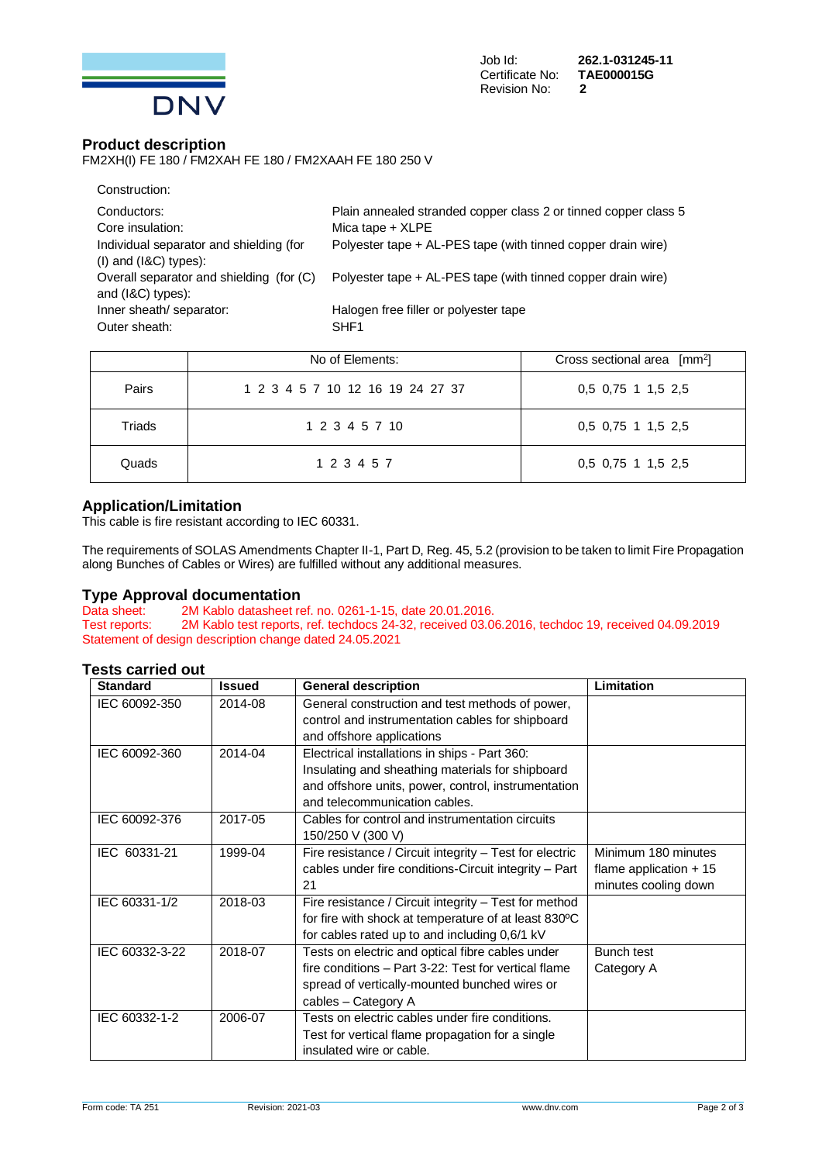

### **Product description**

FM2XH(I) FE 180 / FM2XAH FE 180 / FM2XAAH FE 180 250 V

| Construction:                                                        |                                                                                       |
|----------------------------------------------------------------------|---------------------------------------------------------------------------------------|
| Conductors:<br>Core insulation:                                      | Plain annealed stranded copper class 2 or tinned copper class 5<br>Mica tape $+$ XLPE |
| Individual separator and shielding (for<br>$(1)$ and $(18C)$ types): | Polyester tape + AL-PES tape (with tinned copper drain wire)                          |
| Overall separator and shielding (for (C)<br>and (I&C) types):        | Polyester tape + AL-PES tape (with tinned copper drain wire)                          |
| Inner sheath/ separator:<br>Outer sheath:                            | Halogen free filler or polyester tape<br>SHF <sub>1</sub>                             |
|                                                                      |                                                                                       |

|        | No of Elements:                  | Cross sectional area [mm <sup>2</sup> ] |
|--------|----------------------------------|-----------------------------------------|
| Pairs  | 1 2 3 4 5 7 10 12 16 19 24 27 37 | 0.5 0.75 1 1.5 2.5                      |
| Triads | 1 2 3 4 5 7 10                   | 0.5 0.75 1 1.5 2.5                      |
| Quads  | 1 2 3 4 5 7                      | 0,5 0,75 1 1,5 2,5                      |

### **Application/Limitation**

This cable is fire resistant according to IEC 60331.

The requirements of SOLAS Amendments Chapter II-1, Part D, Reg. 45, 5.2 (provision to be taken to limit Fire Propagation along Bunches of Cables or Wires) are fulfilled without any additional measures.

# **Type Approval documentation**<br>Data sheet: 2M Kablo datasheet re

Data sheet: 2M Kablo datasheet ref. no. 0261-1-15, date 20.01.2016.<br>Test reports: 2M Kablo test reports, ref. techdocs 24-32, received 03.00 2M Kablo test reports, ref. techdocs 24-32, received 03.06.2016, techdoc 19, received 04.09.2019 Statement of design description change dated 24.05.2021

### **Tests carried out**

| <b>Standard</b> | <b>Issued</b> | <b>General description</b>                              | Limitation              |
|-----------------|---------------|---------------------------------------------------------|-------------------------|
| IEC 60092-350   | 2014-08       | General construction and test methods of power,         |                         |
|                 |               | control and instrumentation cables for shipboard        |                         |
|                 |               | and offshore applications                               |                         |
| IEC 60092-360   | 2014-04       | Electrical installations in ships - Part 360:           |                         |
|                 |               | Insulating and sheathing materials for shipboard        |                         |
|                 |               | and offshore units, power, control, instrumentation     |                         |
|                 |               | and telecommunication cables.                           |                         |
| IEC 60092-376   | 2017-05       | Cables for control and instrumentation circuits         |                         |
|                 |               | 150/250 V (300 V)                                       |                         |
| IEC 60331-21    | 1999-04       | Fire resistance / Circuit integrity - Test for electric | Minimum 180 minutes     |
|                 |               | cables under fire conditions-Circuit integrity - Part   | flame application $+15$ |
|                 |               | 21                                                      | minutes cooling down    |
| IEC 60331-1/2   | 2018-03       | Fire resistance / Circuit integrity - Test for method   |                         |
|                 |               | for fire with shock at temperature of at least 830°C    |                         |
|                 |               | for cables rated up to and including 0,6/1 kV           |                         |
| IEC 60332-3-22  | 2018-07       | Tests on electric and optical fibre cables under        | Bunch test              |
|                 |               | fire conditions - Part 3-22: Test for vertical flame    | Category A              |
|                 |               | spread of vertically-mounted bunched wires or           |                         |
|                 |               | cables - Category A                                     |                         |
| IEC 60332-1-2   | 2006-07       | Tests on electric cables under fire conditions.         |                         |
|                 |               | Test for vertical flame propagation for a single        |                         |
|                 |               | insulated wire or cable.                                |                         |